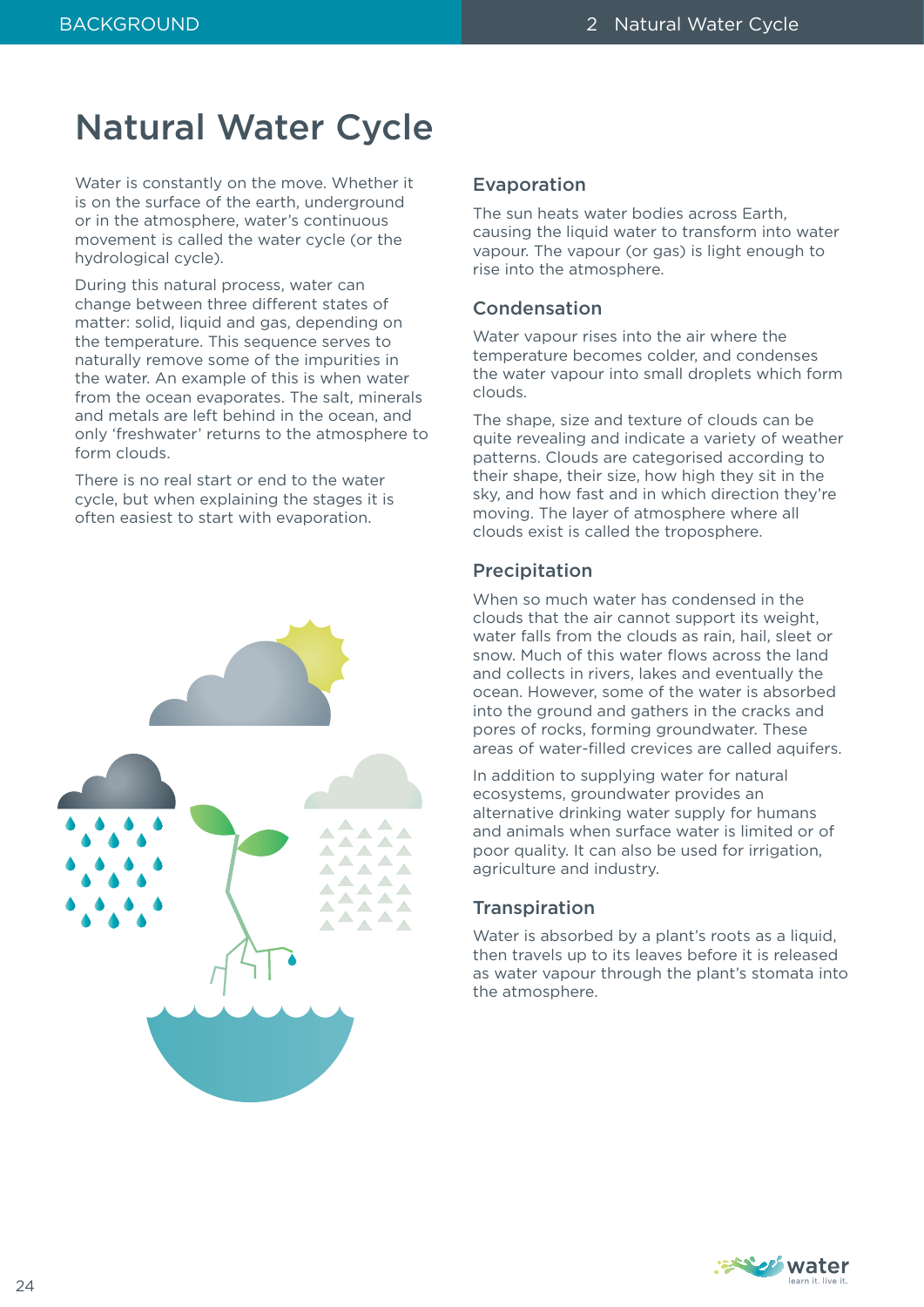# Natural Water Cycle

Water is constantly on the move. Whether it is on the surface of the earth, underground or in the atmosphere, water's continuous movement is called the water cycle (or the hydrological cycle).

During this natural process, water can change between three different states of matter: solid, liquid and gas, depending on the temperature. This sequence serves to naturally remove some of the impurities in the water. An example of this is when water from the ocean evaporates. The salt, minerals and metals are left behind in the ocean, and only 'freshwater' returns to the atmosphere to form clouds.

There is no real start or end to the water cycle, but when explaining the stages it is often easiest to start with evaporation.



### Evaporation

The sun heats water bodies across Earth, causing the liquid water to transform into water vapour. The vapour (or gas) is light enough to rise into the atmosphere.

# Condensation

Water vapour rises into the air where the temperature becomes colder, and condenses the water vapour into small droplets which form clouds.

The shape, size and texture of clouds can be quite revealing and indicate a variety of weather patterns. Clouds are categorised according to their shape, their size, how high they sit in the sky, and how fast and in which direction they're moving. The layer of atmosphere where all clouds exist is called the troposphere.

# Precipitation

When so much water has condensed in the clouds that the air cannot support its weight, water falls from the clouds as rain, hail, sleet or snow. Much of this water flows across the land and collects in rivers, lakes and eventually the ocean. However, some of the water is absorbed into the ground and gathers in the cracks and pores of rocks, forming groundwater. These areas of water-filled crevices are called aquifers.

In addition to supplying water for natural ecosystems, groundwater provides an alternative drinking water supply for humans and animals when surface water is limited or of poor quality. It can also be used for irrigation, agriculture and industry.

# **Transpiration**

Water is absorbed by a plant's roots as a liquid, then travels up to its leaves before it is released as water vapour through the plant's stomata into the atmosphere.

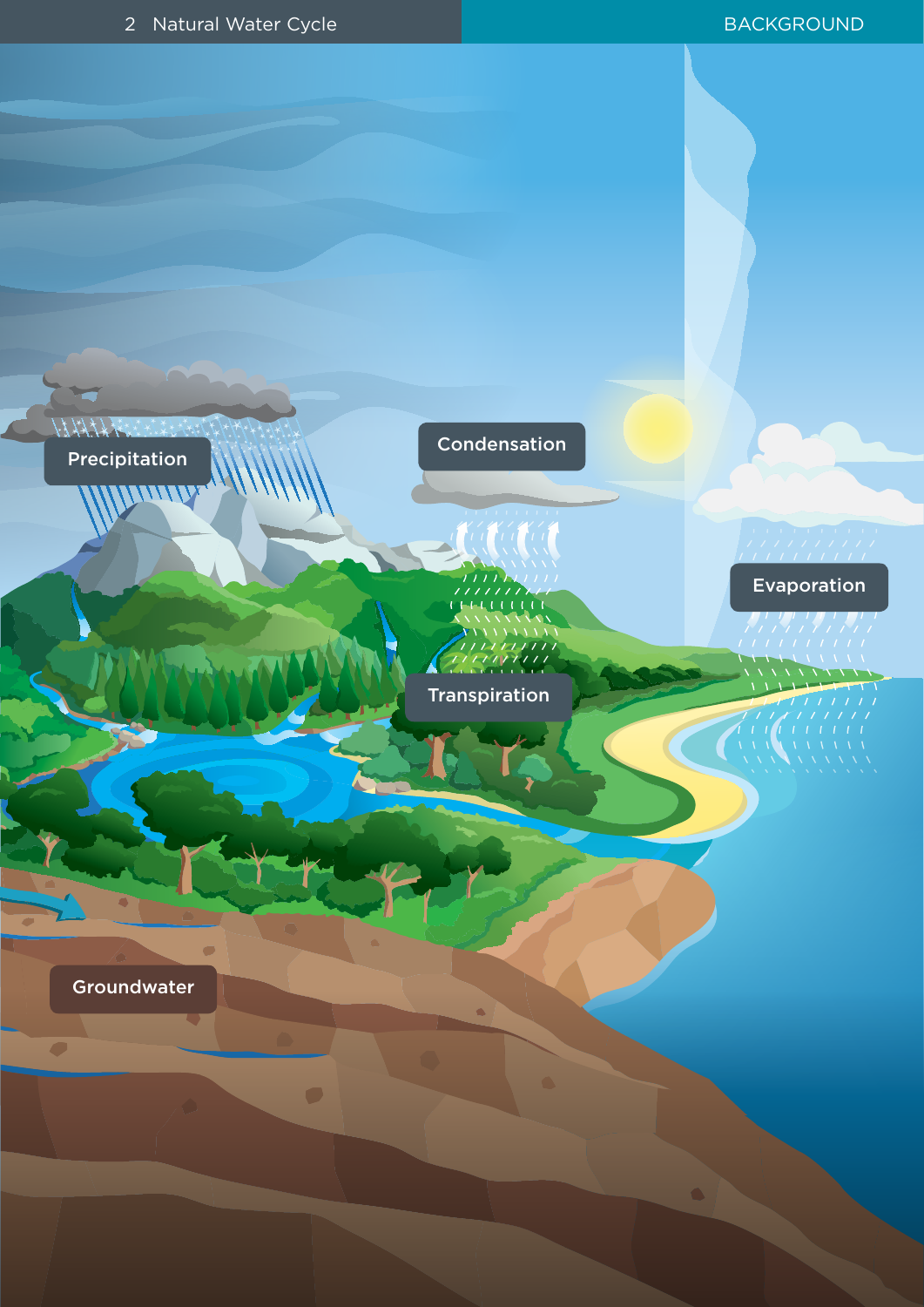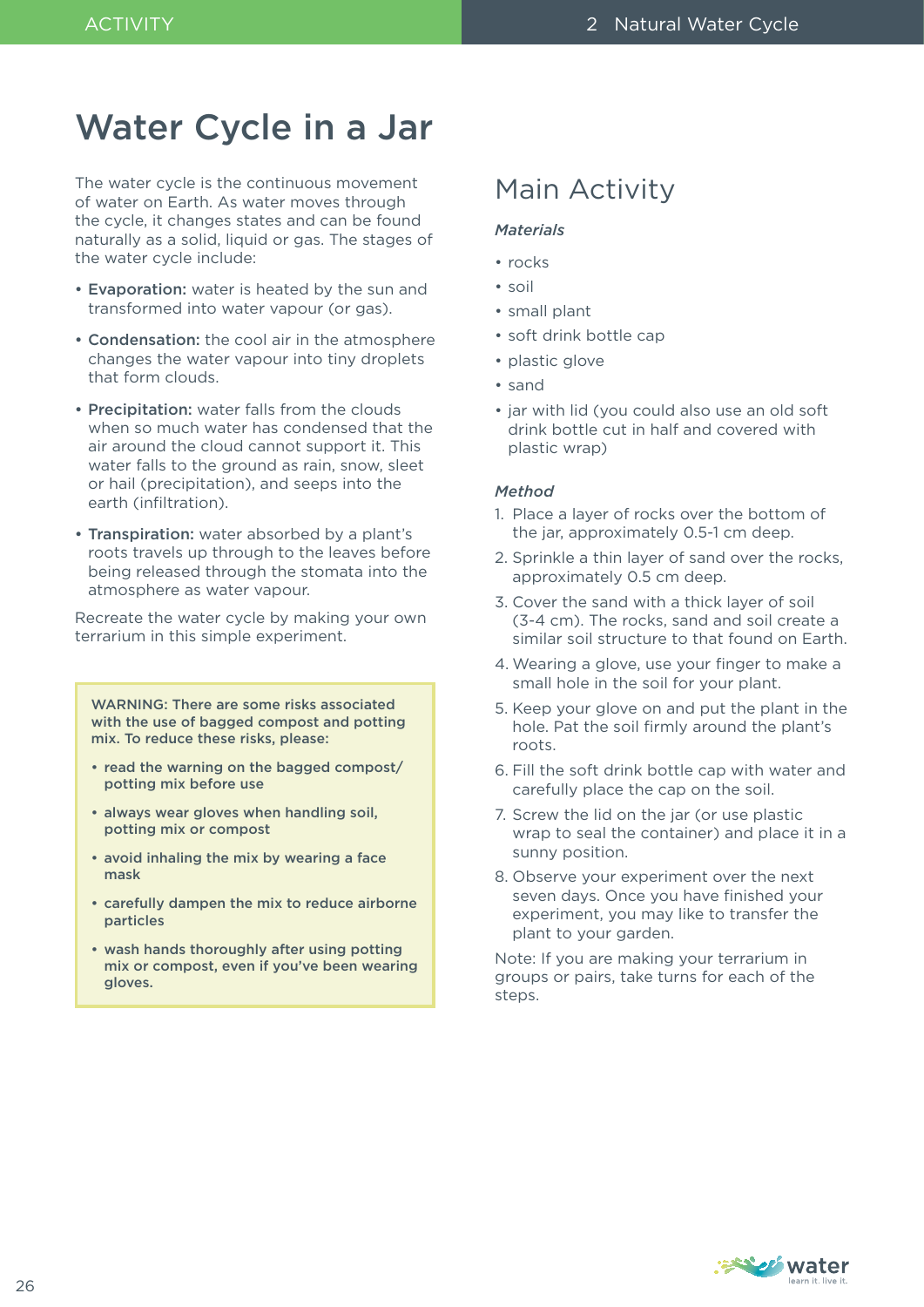# Water Cycle in a Jar

The water cycle is the continuous movement of water on Earth. As water moves through the cycle, it changes states and can be found naturally as a solid, liquid or gas. The stages of the water cycle include:

- Evaporation: water is heated by the sun and transformed into water vapour (or gas).
- Condensation: the cool air in the atmosphere changes the water vapour into tiny droplets that form clouds.
- Precipitation: water falls from the clouds when so much water has condensed that the air around the cloud cannot support it. This water falls to the ground as rain, snow, sleet or hail (precipitation), and seeps into the earth (infiltration).
- Transpiration: water absorbed by a plant's roots travels up through to the leaves before being released through the stomata into the atmosphere as water vapour.

Recreate the water cycle by making your own terrarium in this simple experiment.

WARNING: There are some risks associated with the use of bagged compost and potting mix. To reduce these risks, please:

- read the warning on the bagged compost/ potting mix before use
- always wear gloves when handling soil, potting mix or compost
- avoid inhaling the mix by wearing a face mask
- carefully dampen the mix to reduce airborne particles
- wash hands thoroughly after using potting mix or compost, even if you've been wearing gloves.

# Main Activity

### *Materials*

- rocks
- soil
- small plant
- soft drink bottle cap
- plastic glove
- sand
- jar with lid (you could also use an old soft drink bottle cut in half and covered with plastic wrap)

### *Method*

- 1. Place a layer of rocks over the bottom of the jar, approximately 0.5-1 cm deep.
- 2. Sprinkle a thin layer of sand over the rocks, approximately 0.5 cm deep.
- 3. Cover the sand with a thick layer of soil (3-4 cm). The rocks, sand and soil create a similar soil structure to that found on Earth.
- 4. Wearing a glove, use your finger to make a small hole in the soil for your plant.
- 5. Keep your glove on and put the plant in the hole. Pat the soil firmly around the plant's roots.
- 6. Fill the soft drink bottle cap with water and carefully place the cap on the soil.
- 7. Screw the lid on the jar (or use plastic wrap to seal the container) and place it in a sunny position.
- 8. Observe your experiment over the next seven days. Once you have finished your experiment, you may like to transfer the plant to your garden.

Note: If you are making your terrarium in groups or pairs, take turns for each of the steps.